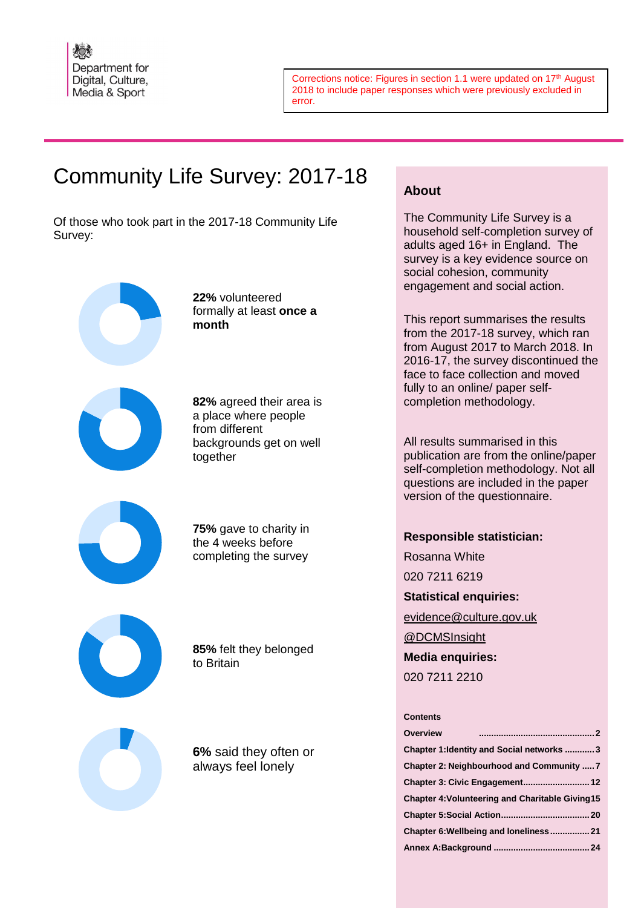

Corrections notice: Figures in section 1.1 were updated on 17<sup>th</sup> August 2018 to include paper responses which were previously excluded in error.

# Community Life Survey: 2017-18

Of those who took part in the 2017-18 Community Life Survey:

> **22%** volunteered formally at least **once a month**



**82%** agreed their area is a place where people from different backgrounds get on well together



**75%** gave to charity in the 4 weeks before completing the survey



**85%** felt they belonged to Britain

**6%** said they often or always feel lonely

# **About**

The Community Life Survey is a household self-completion survey of adults aged 16+ in England. The survey is a key evidence source on social cohesion, community engagement and social action.

This report summarises the results from the 2017-18 survey, which ran from August 2017 to March 2018. In 2016-17, the survey discontinued the face to face collection and moved fully to an online/ paper selfcompletion methodology.

All results summarised in this publication are from the online/paper self-completion methodology. Not all questions are included in the paper version of the questionnaire.

# **Responsible statistician:**

Rosanna White 020 7211 6219 **Statistical enquiries:** [evidence@culture.gov.uk](mailto:name.surname@culture.gov.uk) [@DCMSInsight](http://www.twitter.com/DCMSInsight)

**Media enquiries:**

020 7211 2210

### **Contents**

| <b>Overview</b>                                        |  |
|--------------------------------------------------------|--|
| Chapter 1: Identity and Social networks 3              |  |
| Chapter 2: Neighbourhood and Community  7              |  |
|                                                        |  |
| <b>Chapter 4: Volunteering and Charitable Giving15</b> |  |
|                                                        |  |
| Chapter 6: Wellbeing and loneliness 21                 |  |
|                                                        |  |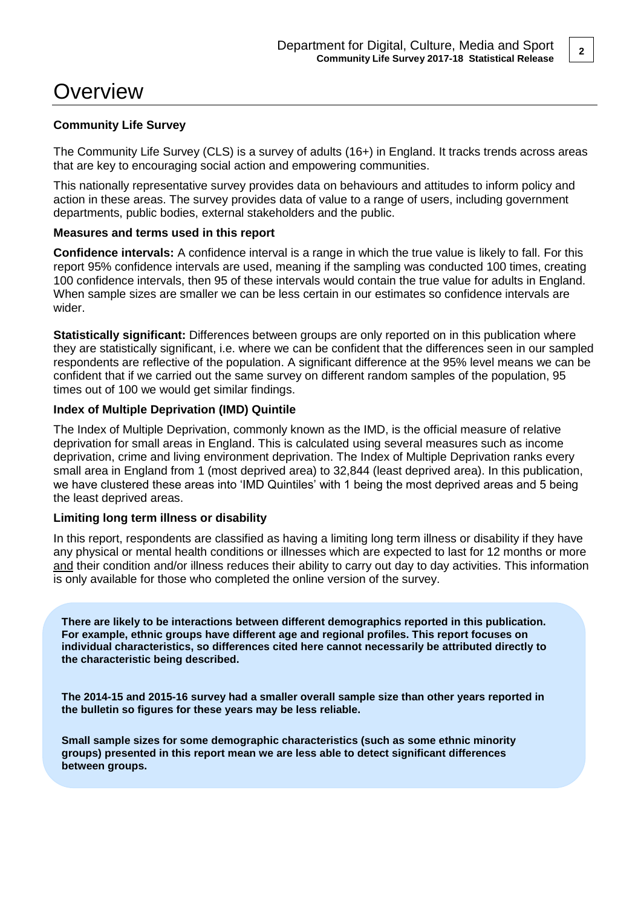# **Overview**

## **Community Life Survey**

The Community Life Survey (CLS) is a survey of adults (16+) in England. It tracks trends across areas that are key to encouraging social action and empowering communities.

This nationally representative survey provides data on behaviours and attitudes to inform policy and action in these areas. The survey provides data of value to a range of users, including government departments, public bodies, external stakeholders and the public.

### **Measures and terms used in this report**

**Confidence intervals:** A confidence interval is a range in which the true value is likely to fall. For this report 95% confidence intervals are used, meaning if the sampling was conducted 100 times, creating 100 confidence intervals, then 95 of these intervals would contain the true value for adults in England. When sample sizes are smaller we can be less certain in our estimates so confidence intervals are wider.

**Statistically significant:** Differences between groups are only reported on in this publication where they are statistically significant, i.e. where we can be confident that the differences seen in our sampled respondents are reflective of the population. A significant difference at the 95% level means we can be confident that if we carried out the same survey on different random samples of the population, 95 times out of 100 we would get similar findings.

## **Index of Multiple Deprivation (IMD) Quintile**

The Index of Multiple Deprivation, commonly known as the IMD, is the official measure of relative deprivation for small areas in England. This is calculated using several measures such as income deprivation, crime and living environment deprivation. The Index of Multiple Deprivation ranks every small area in England from 1 (most deprived area) to 32,844 (least deprived area). In this publication, we have clustered these areas into 'IMD Quintiles' with 1 being the most deprived areas and 5 being the least deprived areas.

## **Limiting long term illness or disability**

In this report, respondents are classified as having a limiting long term illness or disability if they have any physical or mental health conditions or illnesses which are expected to last for 12 months or more and their condition and/or illness reduces their ability to carry out day to day activities. This information is only available for those who completed the online version of the survey.

**There are likely to be interactions between different demographics reported in this publication. For example, ethnic groups have different age and regional profiles. This report focuses on individual characteristics, so differences cited here cannot necessarily be attributed directly to the characteristic being described.** 

**The 2014-15 and 2015-16 survey had a smaller overall sample size than other years reported in the bulletin so figures for these years may be less reliable.**

**Small sample sizes for some demographic characteristics (such as some ethnic minority groups) presented in this report mean we are less able to detect significant differences between groups.**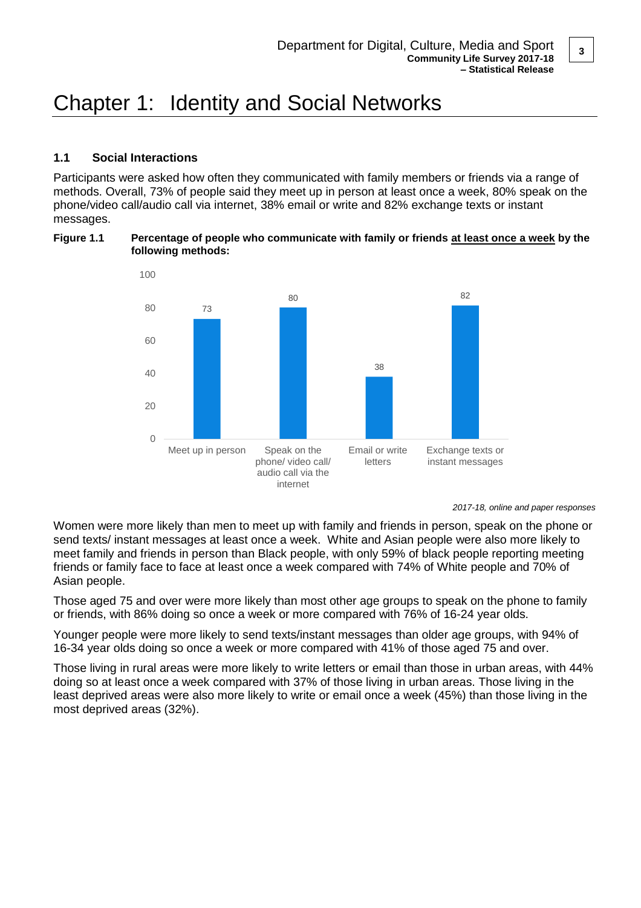# Chapter 1: Identity and Social Networks

## **1.1 Social Interactions**

Participants were asked how often they communicated with family members or friends via a range of methods. Overall, 73% of people said they meet up in person at least once a week, 80% speak on the phone/video call/audio call via internet, 38% email or write and 82% exchange texts or instant messages.

### **Figure 1.1 Percentage of people who communicate with family or friends at least once a week by the following methods:**



*2017-18, online and paper responses*

Women were more likely than men to meet up with family and friends in person, speak on the phone or send texts/ instant messages at least once a week. White and Asian people were also more likely to meet family and friends in person than Black people, with only 59% of black people reporting meeting friends or family face to face at least once a week compared with 74% of White people and 70% of Asian people.

Those aged 75 and over were more likely than most other age groups to speak on the phone to family or friends, with 86% doing so once a week or more compared with 76% of 16-24 year olds.

Younger people were more likely to send texts/instant messages than older age groups, with 94% of 16-34 year olds doing so once a week or more compared with 41% of those aged 75 and over.

Those living in rural areas were more likely to write letters or email than those in urban areas, with 44% doing so at least once a week compared with 37% of those living in urban areas. Those living in the least deprived areas were also more likely to write or email once a week (45%) than those living in the most deprived areas (32%).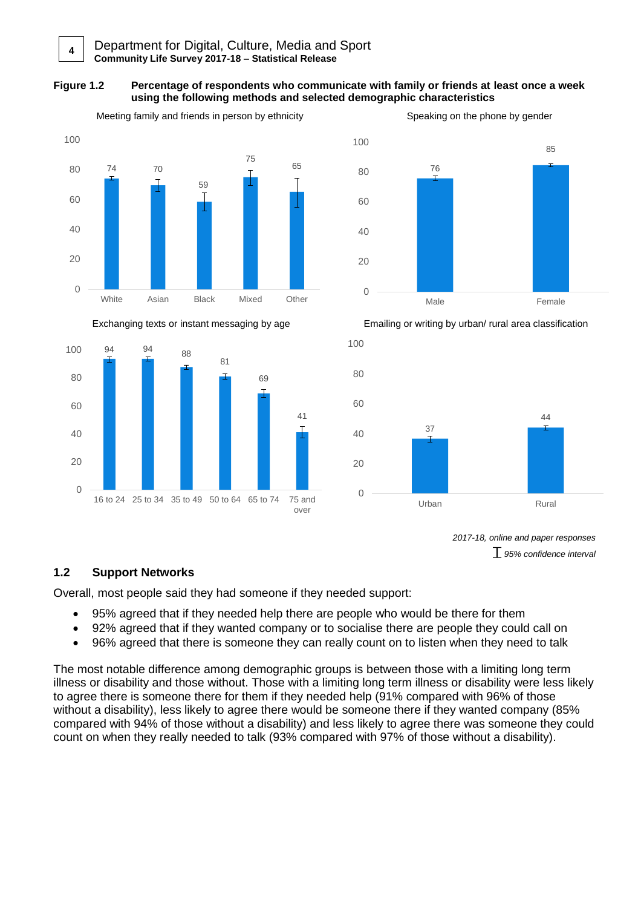### **Figure 1.2 Percentage of respondents who communicate with family or friends at least once a week using the following methods and selected demographic characteristics**









*2017-18, online and paper responses 95% confidence interval*

# **1.2 Support Networks**

Overall, most people said they had someone if they needed support:

- 95% agreed that if they needed help there are people who would be there for them
- 92% agreed that if they wanted company or to socialise there are people they could call on
- 96% agreed that there is someone they can really count on to listen when they need to talk

The most notable difference among demographic groups is between those with a limiting long term illness or disability and those without. Those with a limiting long term illness or disability were less likely to agree there is someone there for them if they needed help (91% compared with 96% of those without a disability), less likely to agree there would be someone there if they wanted company (85% compared with 94% of those without a disability) and less likely to agree there was someone they could count on when they really needed to talk (93% compared with 97% of those without a disability).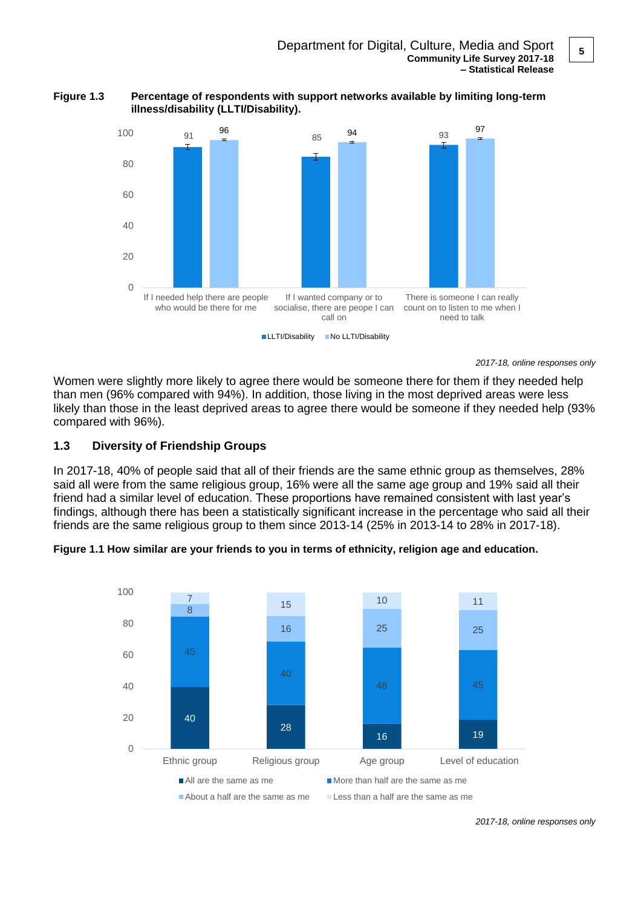



*2017-18, online responses only*

Women were slightly more likely to agree there would be someone there for them if they needed help than men (96% compared with 94%). In addition, those living in the most deprived areas were less likely than those in the least deprived areas to agree there would be someone if they needed help (93% compared with 96%).

## **1.3 Diversity of Friendship Groups**

In 2017-18, 40% of people said that all of their friends are the same ethnic group as themselves, 28% said all were from the same religious group, 16% were all the same age group and 19% said all their friend had a similar level of education. These proportions have remained consistent with last year's findings, although there has been a statistically significant increase in the percentage who said all their friends are the same religious group to them since 2013-14 (25% in 2013-14 to 28% in 2017-18).





*2017-18, online responses only*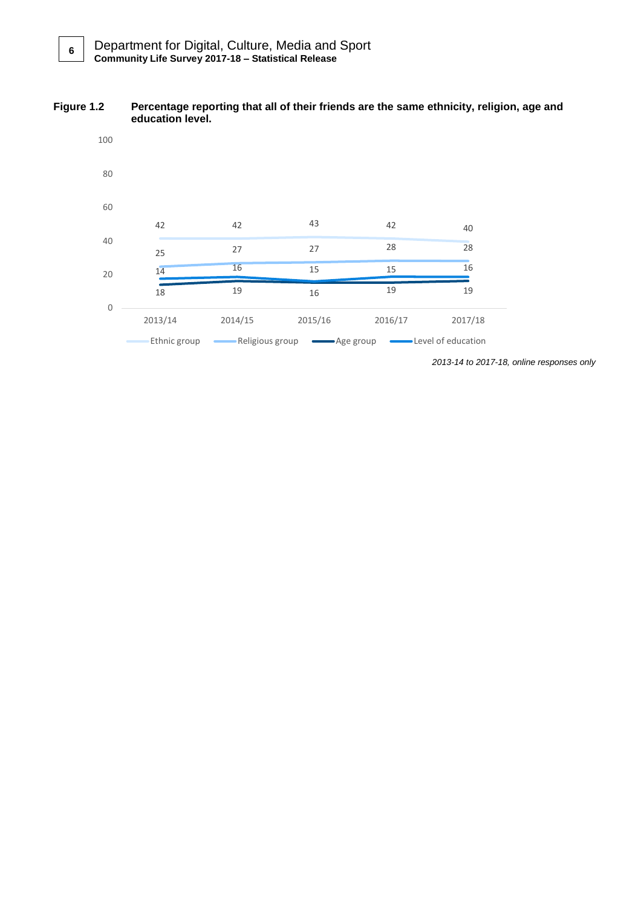#### **Figure 1.2 Percentage reporting that all of their friends are the same ethnicity, religion, age and education level.**



*2013-14 to 2017-18, online responses only*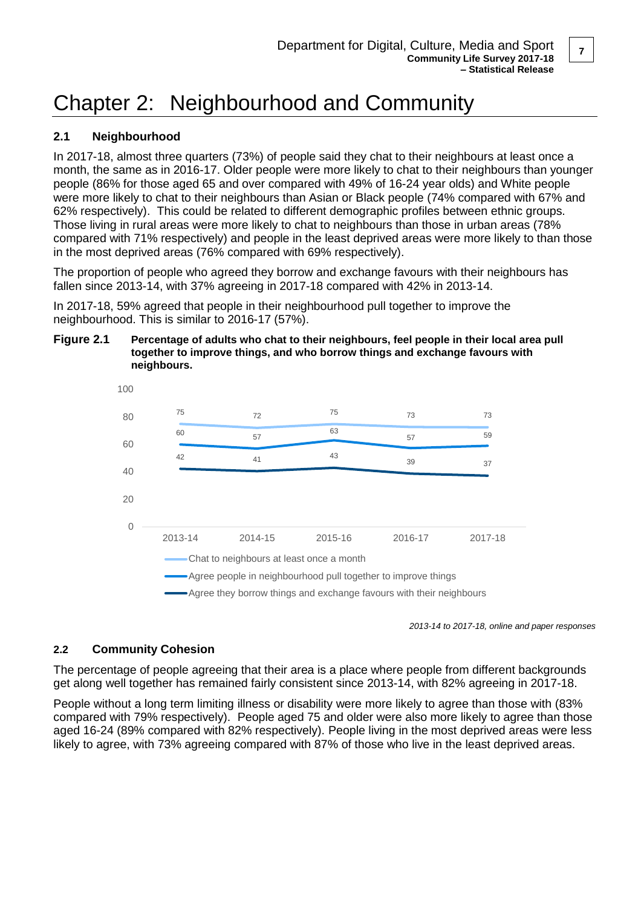# Chapter 2: Neighbourhood and Community

# **2.1 Neighbourhood**

In 2017-18, almost three quarters (73%) of people said they chat to their neighbours at least once a month, the same as in 2016-17. Older people were more likely to chat to their neighbours than younger people (86% for those aged 65 and over compared with 49% of 16-24 year olds) and White people were more likely to chat to their neighbours than Asian or Black people (74% compared with 67% and 62% respectively). This could be related to different demographic profiles between ethnic groups. Those living in rural areas were more likely to chat to neighbours than those in urban areas (78% compared with 71% respectively) and people in the least deprived areas were more likely to than those in the most deprived areas (76% compared with 69% respectively).

The proportion of people who agreed they borrow and exchange favours with their neighbours has fallen since 2013-14, with 37% agreeing in 2017-18 compared with 42% in 2013-14.

In 2017-18, 59% agreed that people in their neighbourhood pull together to improve the neighbourhood. This is similar to 2016-17 (57%).





*2013-14 to 2017-18, online and paper responses*

# **2.2 Community Cohesion**

The percentage of people agreeing that their area is a place where people from different backgrounds get along well together has remained fairly consistent since 2013-14, with 82% agreeing in 2017-18.

People without a long term limiting illness or disability were more likely to agree than those with (83% compared with 79% respectively). People aged 75 and older were also more likely to agree than those aged 16-24 (89% compared with 82% respectively). People living in the most deprived areas were less likely to agree, with 73% agreeing compared with 87% of those who live in the least deprived areas.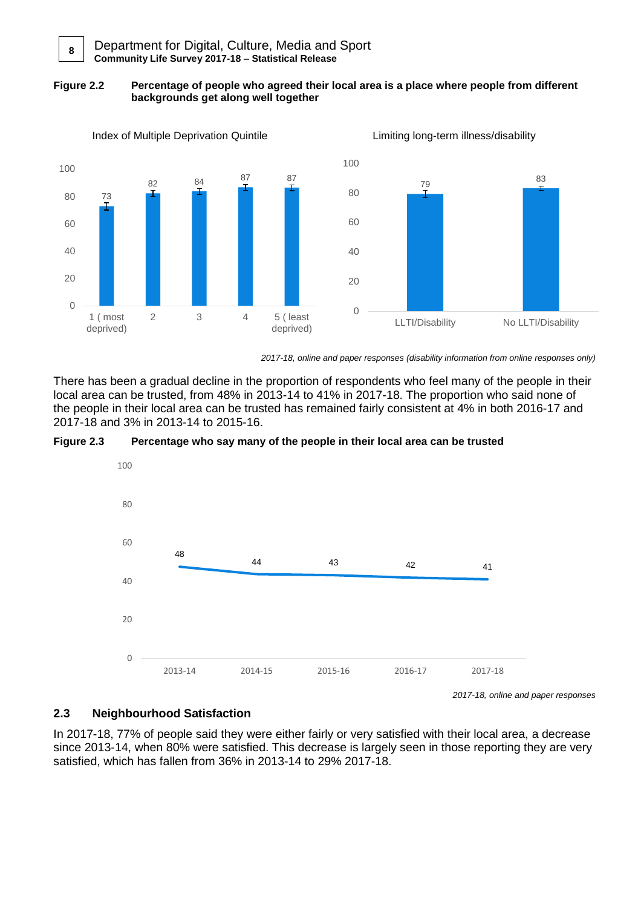#### **Figure 2.2 Percentage of people who agreed their local area is a place where people from different backgrounds get along well together**



*2017-18, online and paper responses (disability information from online responses only)*

There has been a gradual decline in the proportion of respondents who feel many of the people in their local area can be trusted, from 48% in 2013-14 to 41% in 2017-18. The proportion who said none of the people in their local area can be trusted has remained fairly consistent at 4% in both 2016-17 and 2017-18 and 3% in 2013-14 to 2015-16.





*2017-18, online and paper responses*

# **2.3 Neighbourhood Satisfaction**

In 2017-18, 77% of people said they were either fairly or very satisfied with their local area, a decrease since 2013-14, when 80% were satisfied. This decrease is largely seen in those reporting they are very satisfied, which has fallen from 36% in 2013-14 to 29% 2017-18.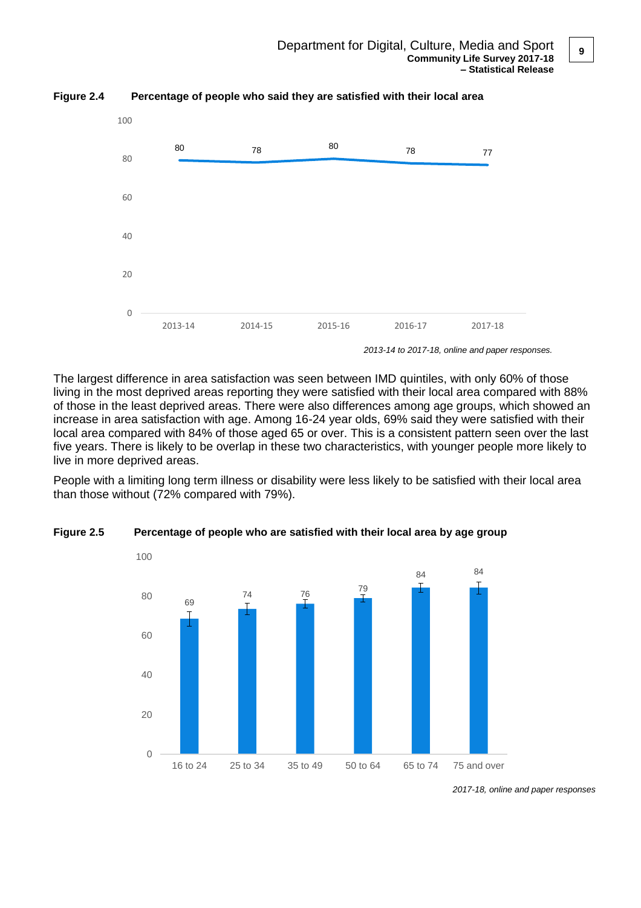

**Figure 2.4 Percentage of people who said they are satisfied with their local area**

The largest difference in area satisfaction was seen between IMD quintiles, with only 60% of those living in the most deprived areas reporting they were satisfied with their local area compared with 88% of those in the least deprived areas. There were also differences among age groups, which showed an increase in area satisfaction with age. Among 16-24 year olds, 69% said they were satisfied with their local area compared with 84% of those aged 65 or over. This is a consistent pattern seen over the last five years. There is likely to be overlap in these two characteristics, with younger people more likely to live in more deprived areas.

People with a limiting long term illness or disability were less likely to be satisfied with their local area than those without (72% compared with 79%).



**Figure 2.5 Percentage of people who are satisfied with their local area by age group**

*<sup>2017-18,</sup> online and paper responses*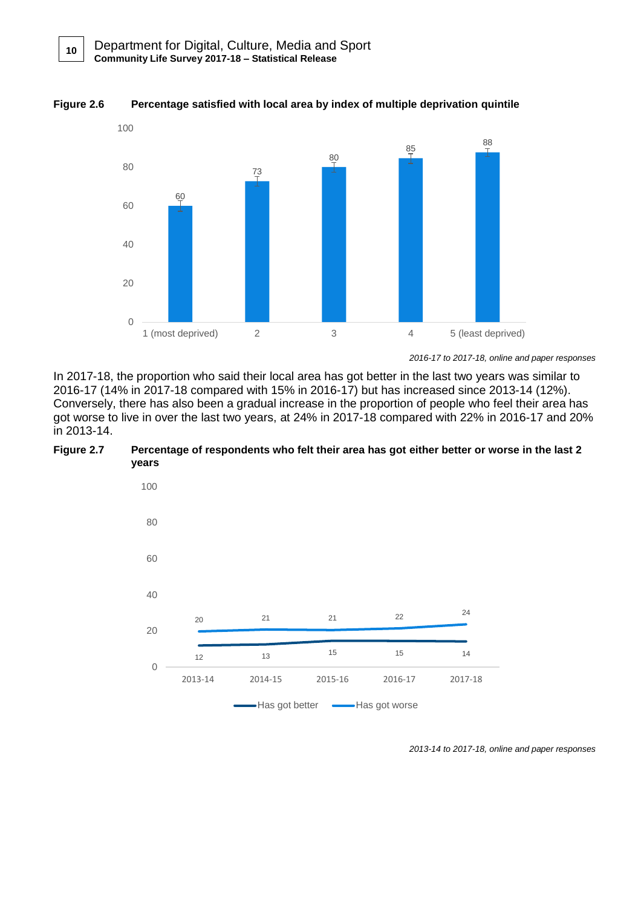**10**





*2016-17 to 2017-18, online and paper responses*

In 2017-18, the proportion who said their local area has got better in the last two years was similar to 2016-17 (14% in 2017-18 compared with 15% in 2016-17) but has increased since 2013-14 (12%). Conversely, there has also been a gradual increase in the proportion of people who feel their area has got worse to live in over the last two years, at 24% in 2017-18 compared with 22% in 2016-17 and 20% in 2013-14.





*2013-14 to 2017-18, online and paper responses*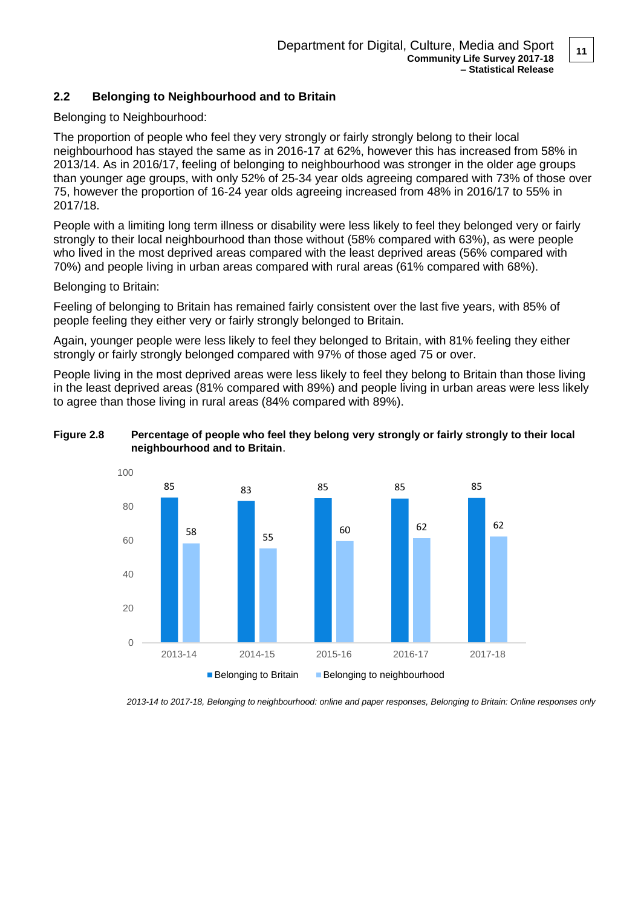# **2.2 Belonging to Neighbourhood and to Britain**

Belonging to Neighbourhood:

The proportion of people who feel they very strongly or fairly strongly belong to their local neighbourhood has stayed the same as in 2016-17 at 62%, however this has increased from 58% in 2013/14. As in 2016/17, feeling of belonging to neighbourhood was stronger in the older age groups than younger age groups, with only 52% of 25-34 year olds agreeing compared with 73% of those over 75, however the proportion of 16-24 year olds agreeing increased from 48% in 2016/17 to 55% in 2017/18.

People with a limiting long term illness or disability were less likely to feel they belonged very or fairly strongly to their local neighbourhood than those without (58% compared with 63%), as were people who lived in the most deprived areas compared with the least deprived areas (56% compared with 70%) and people living in urban areas compared with rural areas (61% compared with 68%).

Belonging to Britain:

Feeling of belonging to Britain has remained fairly consistent over the last five years, with 85% of people feeling they either very or fairly strongly belonged to Britain.

Again, younger people were less likely to feel they belonged to Britain, with 81% feeling they either strongly or fairly strongly belonged compared with 97% of those aged 75 or over.

People living in the most deprived areas were less likely to feel they belong to Britain than those living in the least deprived areas (81% compared with 89%) and people living in urban areas were less likely to agree than those living in rural areas (84% compared with 89%).





*2013-14 to 2017-18, Belonging to neighbourhood: online and paper responses, Belonging to Britain: Online responses only*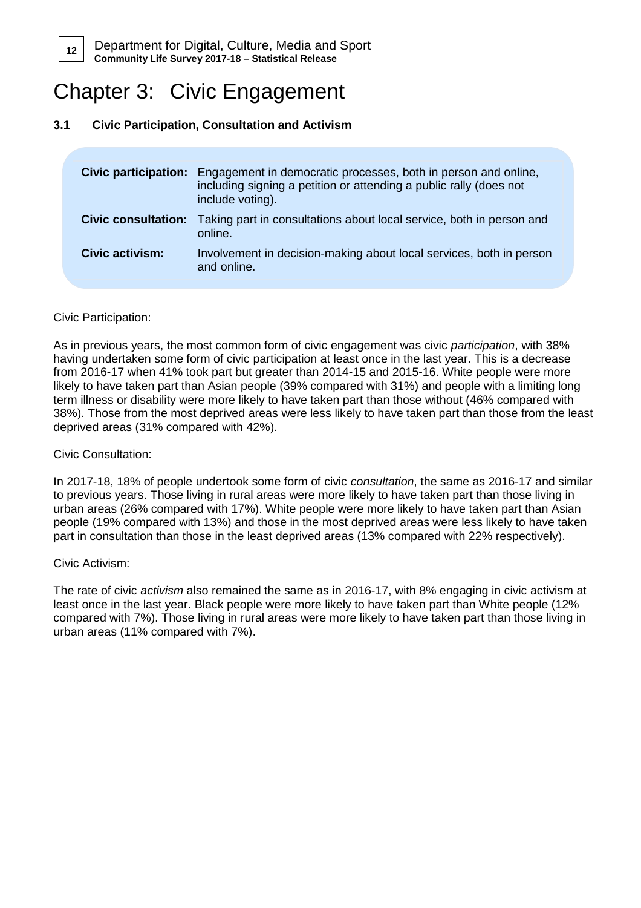

# Chapter 3: Civic Engagement

# **3.1 Civic Participation, Consultation and Activism**

|                            | <b>Civic participation:</b> Engagement in democratic processes, both in person and online,<br>including signing a petition or attending a public rally (does not<br>include voting). |
|----------------------------|--------------------------------------------------------------------------------------------------------------------------------------------------------------------------------------|
| <b>Civic consultation:</b> | Taking part in consultations about local service, both in person and<br>online.                                                                                                      |
| Civic activism:            | Involvement in decision-making about local services, both in person<br>and online.                                                                                                   |

## Civic Participation:

As in previous years, the most common form of civic engagement was civic *participation*, with 38% having undertaken some form of civic participation at least once in the last year. This is a decrease from 2016-17 when 41% took part but greater than 2014-15 and 2015-16. White people were more likely to have taken part than Asian people (39% compared with 31%) and people with a limiting long term illness or disability were more likely to have taken part than those without (46% compared with 38%). Those from the most deprived areas were less likely to have taken part than those from the least deprived areas (31% compared with 42%).

## Civic Consultation:

In 2017-18, 18% of people undertook some form of civic *consultation*, the same as 2016-17 and similar to previous years. Those living in rural areas were more likely to have taken part than those living in urban areas (26% compared with 17%). White people were more likely to have taken part than Asian people (19% compared with 13%) and those in the most deprived areas were less likely to have taken part in consultation than those in the least deprived areas (13% compared with 22% respectively).

### Civic Activism:

The rate of civic *activism* also remained the same as in 2016-17, with 8% engaging in civic activism at least once in the last year. Black people were more likely to have taken part than White people (12% compared with 7%). Those living in rural areas were more likely to have taken part than those living in urban areas (11% compared with 7%).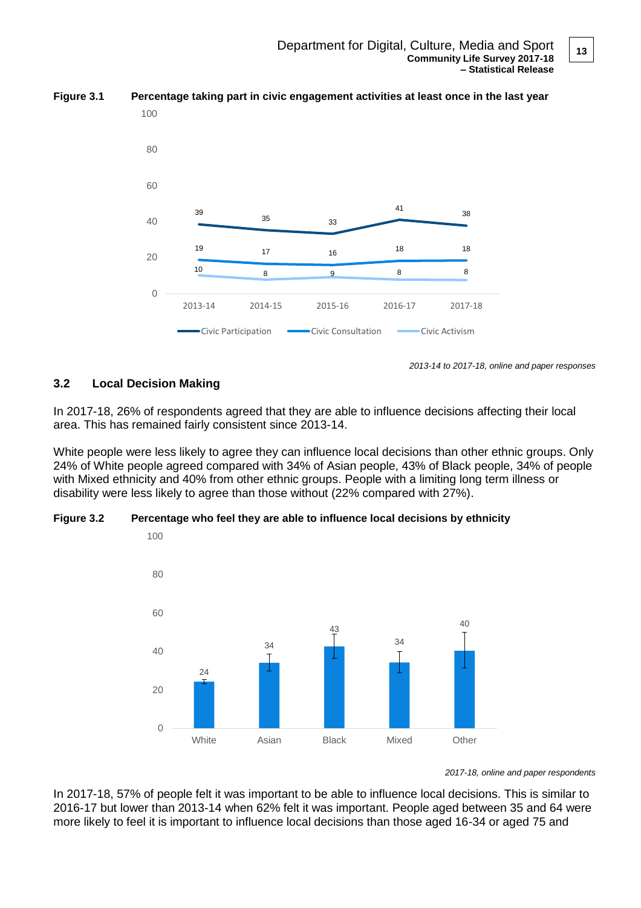

**Figure 3.1 Percentage taking part in civic engagement activities at least once in the last year**

*2013-14 to 2017-18, online and paper responses*

# **3.2 Local Decision Making**

In 2017-18, 26% of respondents agreed that they are able to influence decisions affecting their local area. This has remained fairly consistent since 2013-14.

White people were less likely to agree they can influence local decisions than other ethnic groups. Only 24% of White people agreed compared with 34% of Asian people, 43% of Black people, 34% of people with Mixed ethnicity and 40% from other ethnic groups. People with a limiting long term illness or disability were less likely to agree than those without (22% compared with 27%).





*<sup>2017-18,</sup> online and paper respondents*

In 2017-18, 57% of people felt it was important to be able to influence local decisions. This is similar to 2016-17 but lower than 2013-14 when 62% felt it was important. People aged between 35 and 64 were more likely to feel it is important to influence local decisions than those aged 16-34 or aged 75 and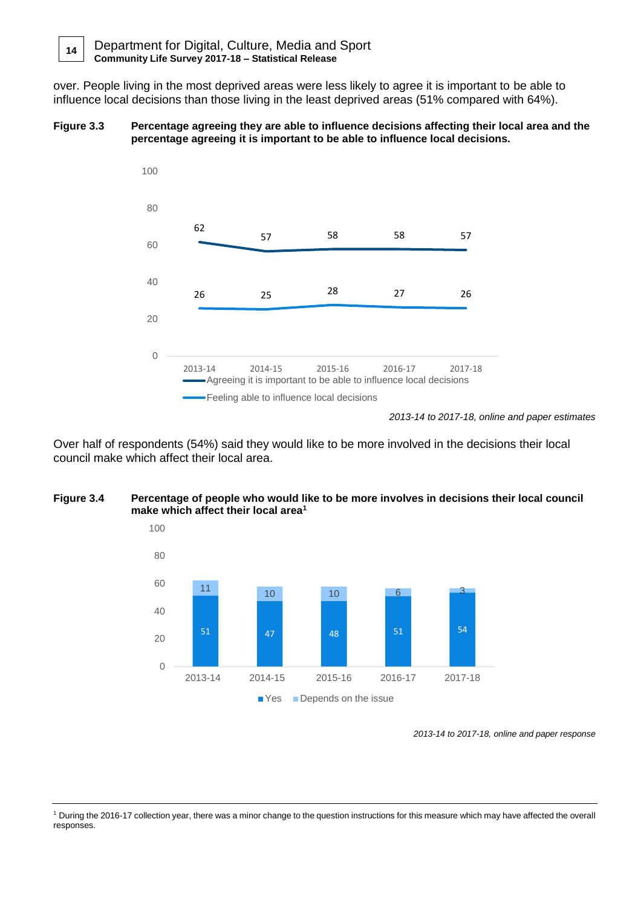Department for Digital, Culture, Media and Sport **Community Life Survey 2017-18 – Statistical Release 14**

over. People living in the most deprived areas were less likely to agree it is important to be able to influence local decisions than those living in the least deprived areas (51% compared with 64%).

#### **Figure 3.3 Percentage agreeing they are able to influence decisions affecting their local area and the percentage agreeing it is important to be able to influence local decisions.**



*2013-14 to 2017-18, online and paper estimates*

Over half of respondents (54%) said they would like to be more involved in the decisions their local council make which affect their local area.

## **Figure 3.4 Percentage of people who would like to be more involves in decisions their local council make which affect their local area<sup>1</sup>**



*<sup>2013-14</sup> to 2017-18, online and paper response*

<sup>1</sup> During the 2016-17 collection year, there was a minor change to the question instructions for this measure which may have affected the overall responses.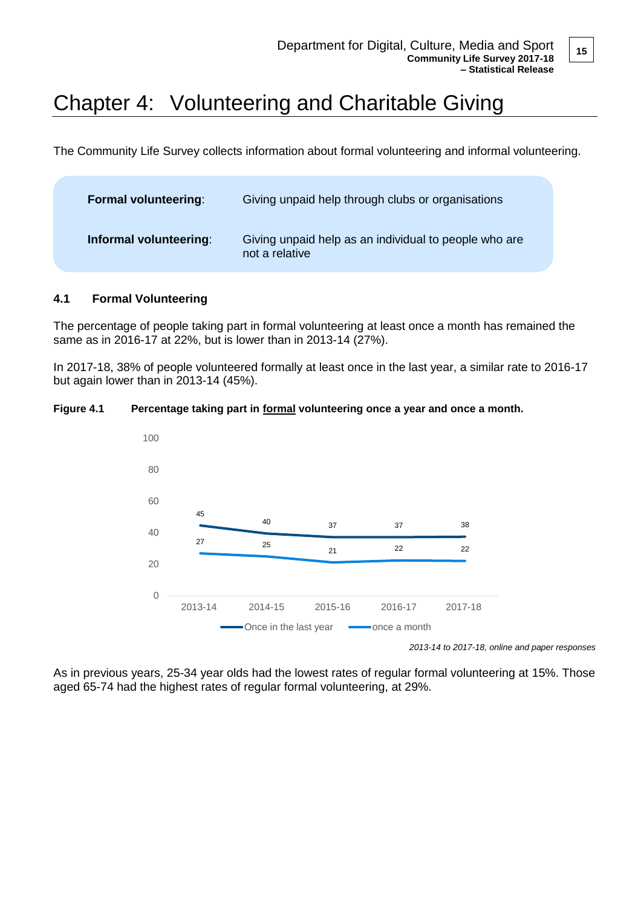# Chapter 4: Volunteering and Charitable Giving

The Community Life Survey collects information about formal volunteering and informal volunteering.

| <b>Formal volunteering:</b> | Giving unpaid help through clubs or organisations                       |
|-----------------------------|-------------------------------------------------------------------------|
| Informal volunteering:      | Giving unpaid help as an individual to people who are<br>not a relative |

## **4.1 Formal Volunteering**

The percentage of people taking part in formal volunteering at least once a month has remained the same as in 2016-17 at 22%, but is lower than in 2013-14 (27%).

In 2017-18, 38% of people volunteered formally at least once in the last year, a similar rate to 2016-17 but again lower than in 2013-14 (45%).

### **Figure 4.1 Percentage taking part in formal volunteering once a year and once a month.**



*2013-14 to 2017-18, online and paper responses*

As in previous years, 25-34 year olds had the lowest rates of regular formal volunteering at 15%. Those aged 65-74 had the highest rates of regular formal volunteering, at 29%.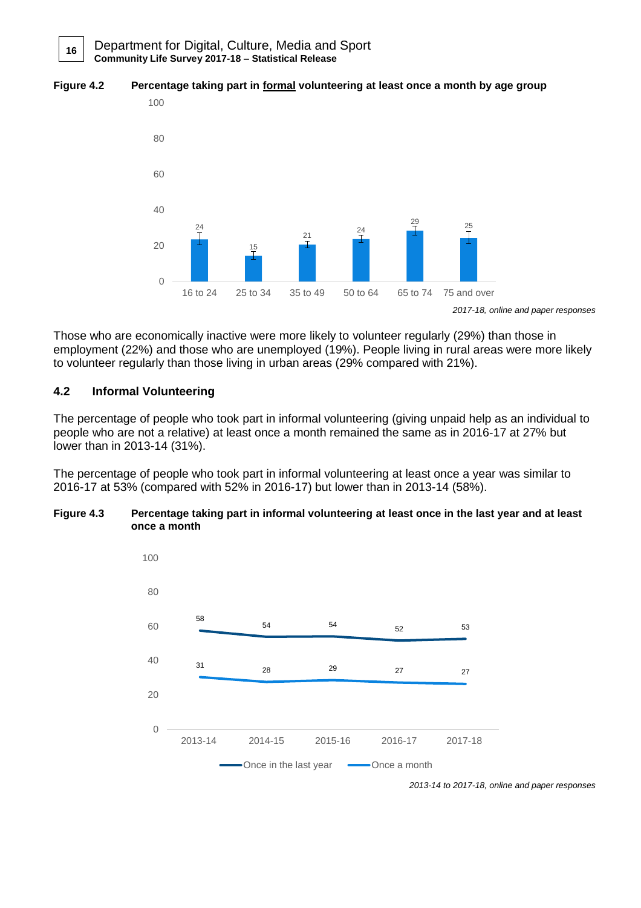



*<sup>2017-18,</sup> online and paper responses*

Those who are economically inactive were more likely to volunteer regularly (29%) than those in employment (22%) and those who are unemployed (19%). People living in rural areas were more likely to volunteer regularly than those living in urban areas (29% compared with 21%).

# **4.2 Informal Volunteering**

**16**

The percentage of people who took part in informal volunteering (giving unpaid help as an individual to people who are not a relative) at least once a month remained the same as in 2016-17 at 27% but lower than in 2013-14 (31%).

The percentage of people who took part in informal volunteering at least once a year was similar to 2016-17 at 53% (compared with 52% in 2016-17) but lower than in 2013-14 (58%).

### **Figure 4.3 Percentage taking part in informal volunteering at least once in the last year and at least once a month**



*2013-14 to 2017-18, online and paper responses*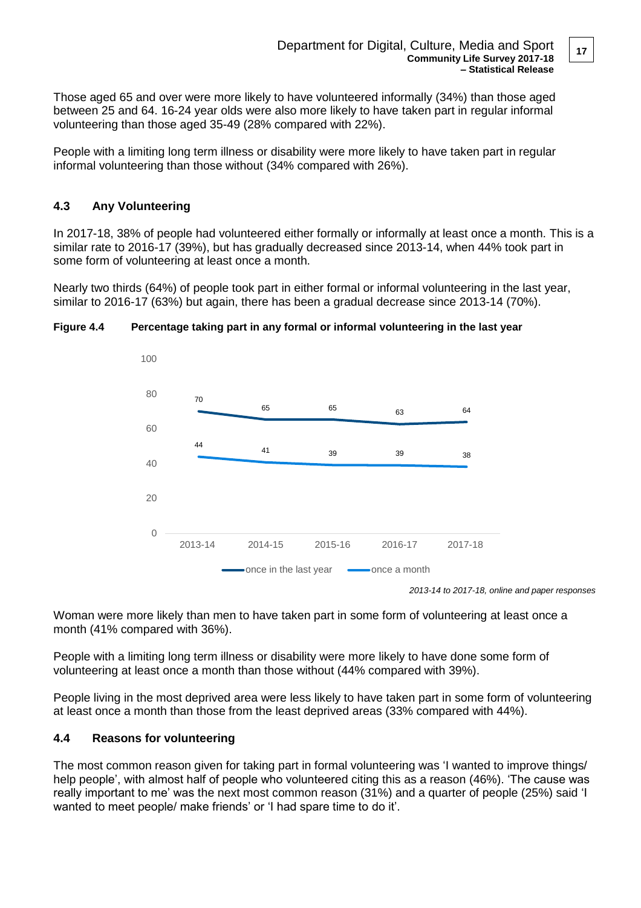Those aged 65 and over were more likely to have volunteered informally (34%) than those aged between 25 and 64. 16-24 year olds were also more likely to have taken part in regular informal volunteering than those aged 35-49 (28% compared with 22%).

People with a limiting long term illness or disability were more likely to have taken part in regular informal volunteering than those without (34% compared with 26%).

# **4.3 Any Volunteering**

In 2017-18, 38% of people had volunteered either formally or informally at least once a month. This is a similar rate to 2016-17 (39%), but has gradually decreased since 2013-14, when 44% took part in some form of volunteering at least once a month.

Nearly two thirds (64%) of people took part in either formal or informal volunteering in the last year, similar to 2016-17 (63%) but again, there has been a gradual decrease since 2013-14 (70%).



## **Figure 4.4 Percentage taking part in any formal or informal volunteering in the last year**

*2013-14 to 2017-18, online and paper responses*

Woman were more likely than men to have taken part in some form of volunteering at least once a month (41% compared with 36%).

People with a limiting long term illness or disability were more likely to have done some form of volunteering at least once a month than those without (44% compared with 39%).

People living in the most deprived area were less likely to have taken part in some form of volunteering at least once a month than those from the least deprived areas (33% compared with 44%).

## **4.4 Reasons for volunteering**

The most common reason given for taking part in formal volunteering was 'I wanted to improve things/ help people', with almost half of people who volunteered citing this as a reason (46%). 'The cause was really important to me' was the next most common reason (31%) and a quarter of people (25%) said 'I wanted to meet people/ make friends' or 'I had spare time to do it'.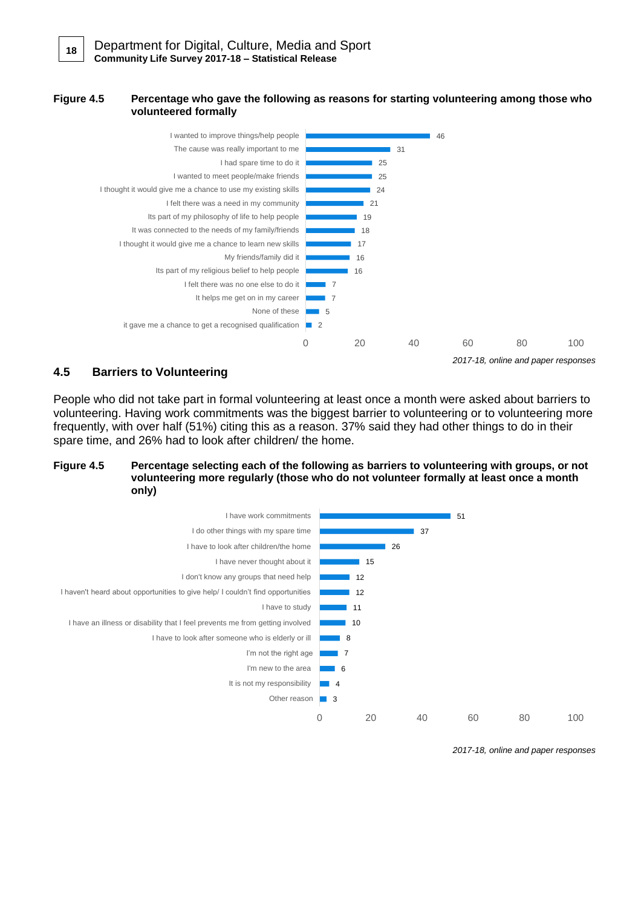#### **Figure 4.5 Percentage who gave the following as reasons for starting volunteering among those who volunteered formally**



## **4.5 Barriers to Volunteering**

People who did not take part in formal volunteering at least once a month were asked about barriers to volunteering. Having work commitments was the biggest barrier to volunteering or to volunteering more frequently, with over half (51%) citing this as a reason. 37% said they had other things to do in their spare time, and 26% had to look after children/ the home.

#### **Figure 4.5 Percentage selecting each of the following as barriers to volunteering with groups, or not volunteering more regularly (those who do not volunteer formally at least once a month only)**



*<sup>2017-18,</sup> online and paper responses*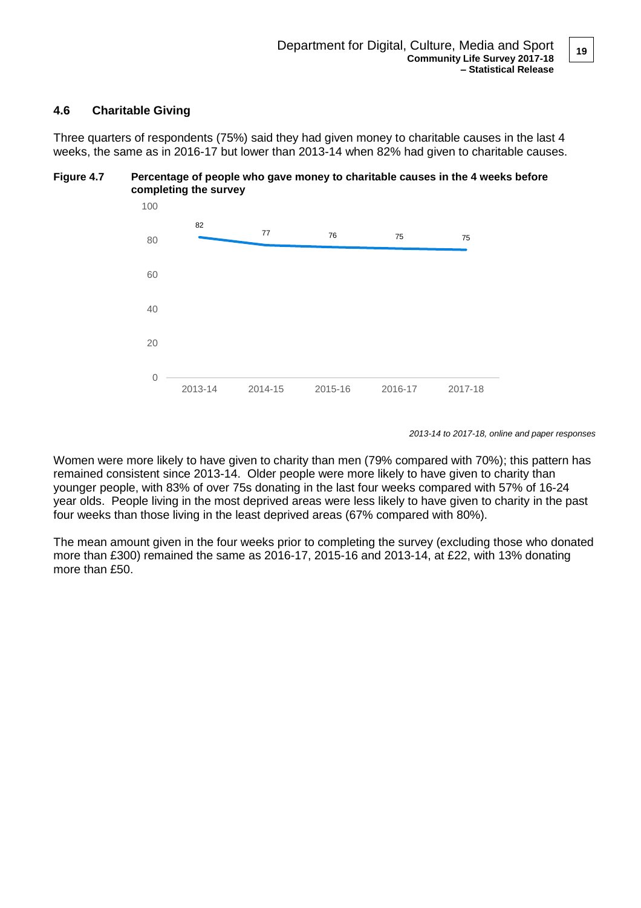## **4.6 Charitable Giving**

Three quarters of respondents (75%) said they had given money to charitable causes in the last 4 weeks, the same as in 2016-17 but lower than 2013-14 when 82% had given to charitable causes.

### **Figure 4.7 Percentage of people who gave money to charitable causes in the 4 weeks before completing the survey**



*2013-14 to 2017-18, online and paper responses*

Women were more likely to have given to charity than men (79% compared with 70%); this pattern has remained consistent since 2013-14. Older people were more likely to have given to charity than younger people, with 83% of over 75s donating in the last four weeks compared with 57% of 16-24 year olds. People living in the most deprived areas were less likely to have given to charity in the past four weeks than those living in the least deprived areas (67% compared with 80%).

The mean amount given in the four weeks prior to completing the survey (excluding those who donated more than £300) remained the same as 2016-17, 2015-16 and 2013-14, at £22, with 13% donating more than £50.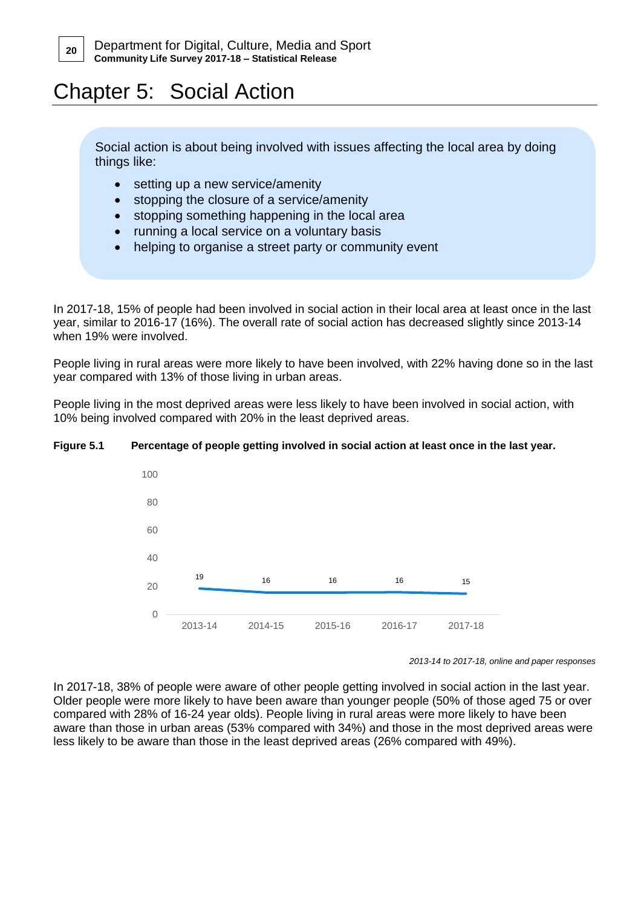# Chapter 5: Social Action

Social action is about being involved with issues affecting the local area by doing things like:

- setting up a new service/amenity
- stopping the closure of a service/amenity
- stopping something happening in the local area
- running a local service on a voluntary basis
- helping to organise a street party or community event

In 2017-18, 15% of people had been involved in social action in their local area at least once in the last year, similar to 2016-17 (16%). The overall rate of social action has decreased slightly since 2013-14 when 19% were involved.

People living in rural areas were more likely to have been involved, with 22% having done so in the last year compared with 13% of those living in urban areas.

People living in the most deprived areas were less likely to have been involved in social action, with 10% being involved compared with 20% in the least deprived areas.

### **Figure 5.1 Percentage of people getting involved in social action at least once in the last year.**



*<sup>2013-14</sup> to 2017-18, online and paper responses*

In 2017-18, 38% of people were aware of other people getting involved in social action in the last year. Older people were more likely to have been aware than younger people (50% of those aged 75 or over compared with 28% of 16-24 year olds). People living in rural areas were more likely to have been aware than those in urban areas (53% compared with 34%) and those in the most deprived areas were less likely to be aware than those in the least deprived areas (26% compared with 49%).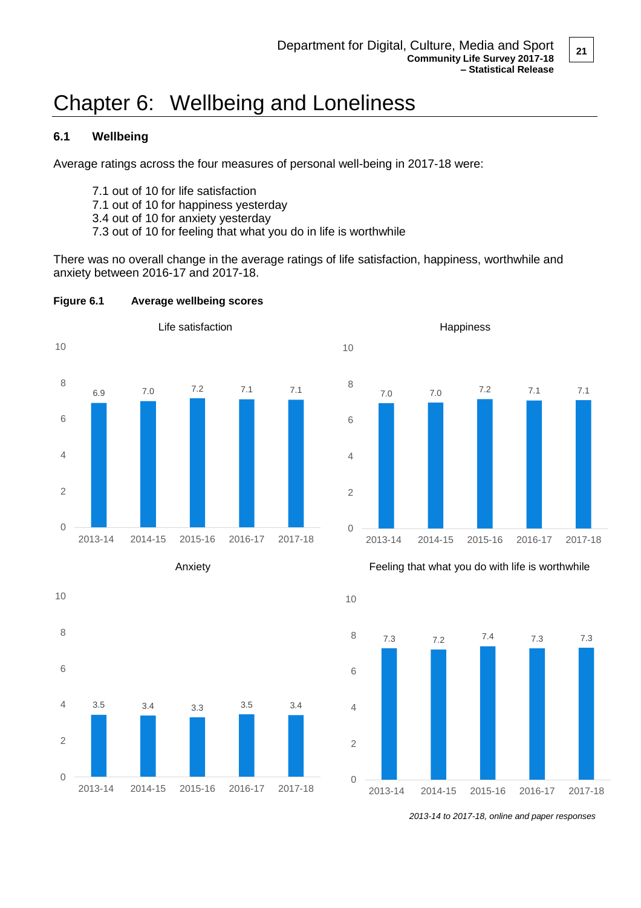# Chapter 6: Wellbeing and Loneliness

# **6.1 Wellbeing**

Average ratings across the four measures of personal well-being in 2017-18 were:

- 7.1 out of 10 for life satisfaction
- 7.1 out of 10 for happiness yesterday
- 3.4 out of 10 for anxiety yesterday
- 7.3 out of 10 for feeling that what you do in life is worthwhile

There was no overall change in the average ratings of life satisfaction, happiness, worthwhile and anxiety between 2016-17 and 2017-18.











Anxiety *Anxiety Eeeling that what you do with life is worthwhile* 



*<sup>2013-14</sup> to 2017-18, online and paper responses*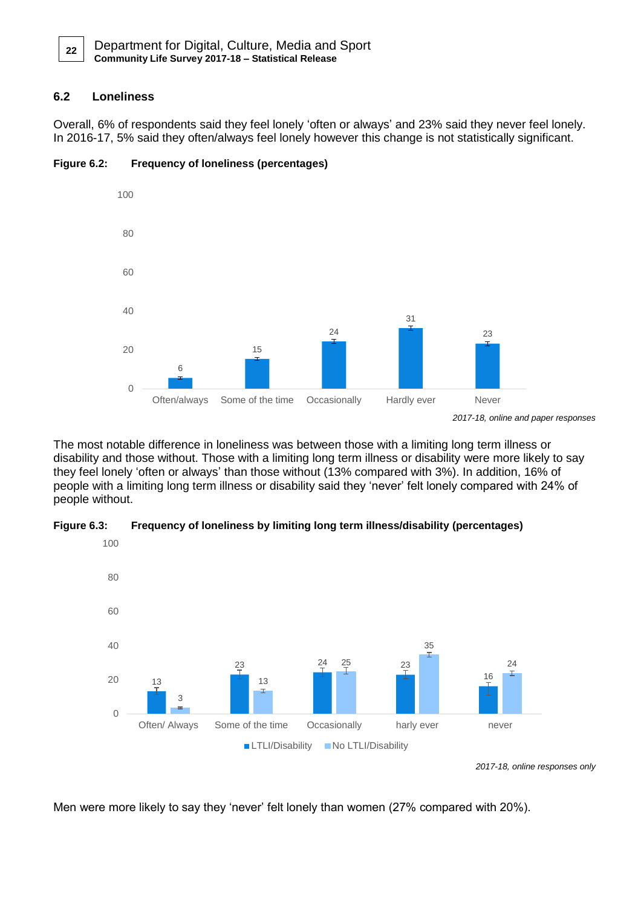**22**

# **6.2 Loneliness**

Overall, 6% of respondents said they feel lonely 'often or always' and 23% said they never feel lonely. In 2016-17, 5% said they often/always feel lonely however this change is not statistically significant.



## **Figure 6.2: Frequency of loneliness (percentages)**

The most notable difference in loneliness was between those with a limiting long term illness or disability and those without. Those with a limiting long term illness or disability were more likely to say they feel lonely 'often or always' than those without (13% compared with 3%). In addition, 16% of people with a limiting long term illness or disability said they 'never' felt lonely compared with 24% of people without.





*2017-18, online responses only*

Men were more likely to say they 'never' felt lonely than women (27% compared with 20%).

*<sup>2017-18,</sup> online and paper responses*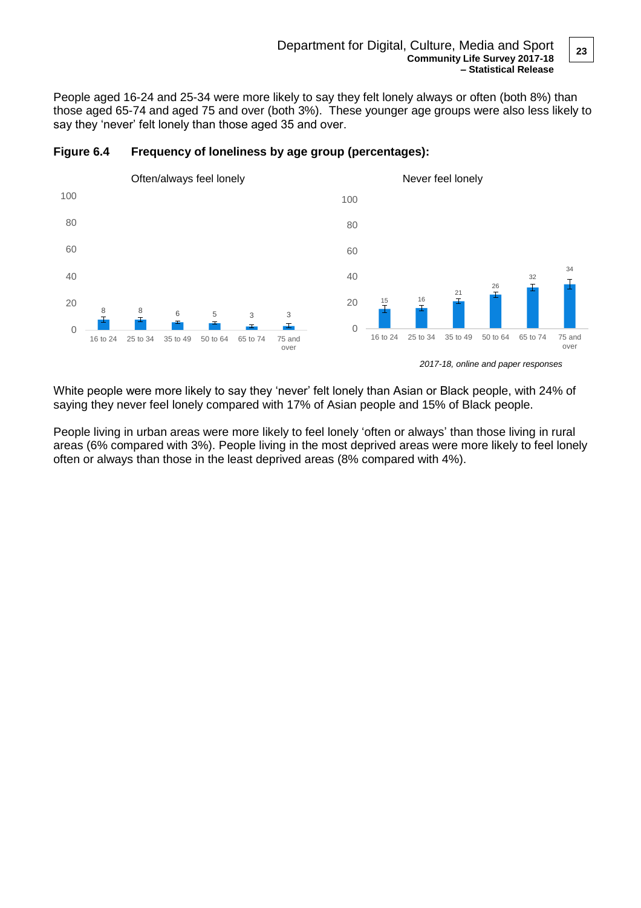#### Department for Digital, Culture, Media and Sport **Community Life Survey 2017-18 – Statistical Release**

People aged 16-24 and 25-34 were more likely to say they felt lonely always or often (both 8%) than those aged 65-74 and aged 75 and over (both 3%). These younger age groups were also less likely to say they 'never' felt lonely than those aged 35 and over.



### **Figure 6.4 Frequency of loneliness by age group (percentages):**

White people were more likely to say they 'never' felt lonely than Asian or Black people, with 24% of saying they never feel lonely compared with 17% of Asian people and 15% of Black people.

People living in urban areas were more likely to feel lonely 'often or always' than those living in rural areas (6% compared with 3%). People living in the most deprived areas were more likely to feel lonely often or always than those in the least deprived areas (8% compared with 4%).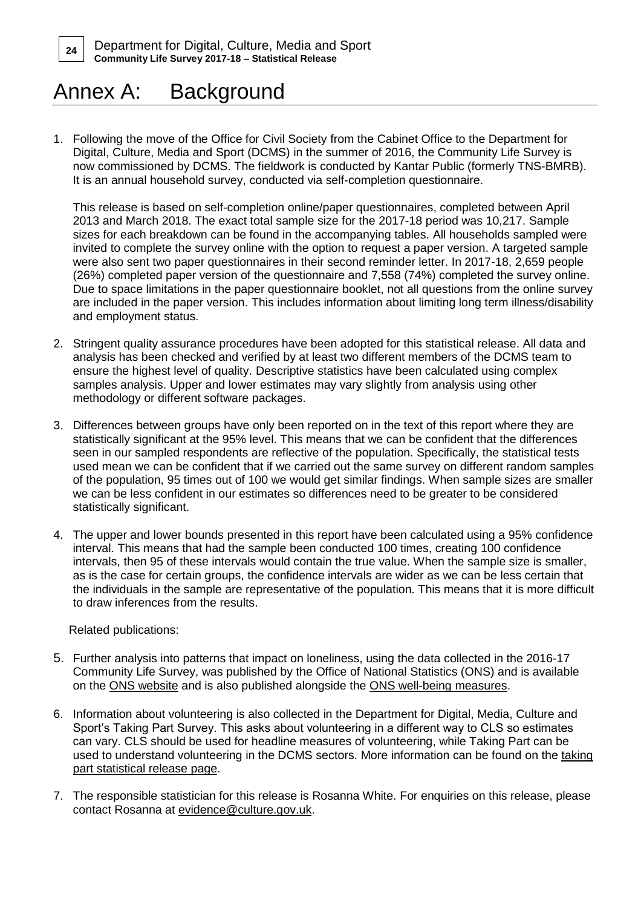# Annex A: Background

1. Following the move of the Office for Civil Society from the Cabinet Office to the Department for Digital, Culture, Media and Sport (DCMS) in the summer of 2016, the Community Life Survey is now commissioned by DCMS. The fieldwork is conducted by Kantar Public (formerly TNS-BMRB). It is an annual household survey, conducted via self-completion questionnaire.

This release is based on self-completion online/paper questionnaires, completed between April 2013 and March 2018. The exact total sample size for the 2017-18 period was 10,217. Sample sizes for each breakdown can be found in the accompanying tables. All households sampled were invited to complete the survey online with the option to request a paper version. A targeted sample were also sent two paper questionnaires in their second reminder letter. In 2017-18, 2,659 people (26%) completed paper version of the questionnaire and 7,558 (74%) completed the survey online. Due to space limitations in the paper questionnaire booklet, not all questions from the online survey are included in the paper version. This includes information about limiting long term illness/disability and employment status.

- 2. Stringent quality assurance procedures have been adopted for this statistical release. All data and analysis has been checked and verified by at least two different members of the DCMS team to ensure the highest level of quality. Descriptive statistics have been calculated using complex samples analysis. Upper and lower estimates may vary slightly from analysis using other methodology or different software packages.
- 3. Differences between groups have only been reported on in the text of this report where they are statistically significant at the 95% level. This means that we can be confident that the differences seen in our sampled respondents are reflective of the population. Specifically, the statistical tests used mean we can be confident that if we carried out the same survey on different random samples of the population, 95 times out of 100 we would get similar findings. When sample sizes are smaller we can be less confident in our estimates so differences need to be greater to be considered statistically significant.
- 4. The upper and lower bounds presented in this report have been calculated using a 95% confidence interval. This means that had the sample been conducted 100 times, creating 100 confidence intervals, then 95 of these intervals would contain the true value. When the sample size is smaller, as is the case for certain groups, the confidence intervals are wider as we can be less certain that the individuals in the sample are representative of the population. This means that it is more difficult to draw inferences from the results.

Related publications:

- 5. Further analysis into patterns that impact on loneliness, using the data collected in the 2016-17 Community Life Survey, was published by the Office of National Statistics (ONS) and is available [on the ONS website](https://www.ons.gov.uk/peoplepopulationandcommunity/wellbeing/articles/lonelinesswhatcharacteristicsandcircumstancesareassociatedwithfeelinglonely/2018-04-10) and is also published alongside the [ONS well-being measures.](https://www.ons.gov.uk/peoplepopulationandcommunity/wellbeing/articles/measuresofnationalwellbeingdashboard/2018-04-25)
- 6. Information about volunteering is also collected in the Department for Digital, Media, Culture and Sport's Taking Part Survey. This asks about volunteering in a different way to CLS so estimates can vary. CLS should be used for headline measures of volunteering, while Taking Part can be used to understand volunteering in the DCMS sectors. More information can be found on the taking [part statistical release page.](https://www.gov.uk/government/collections/sat--2)
- 7. The responsible statistician for this release is Rosanna White. For enquiries on this release, please contact Rosanna at [evidence@culture.gov.uk.](mailto:evidence@culture.gov.uk)